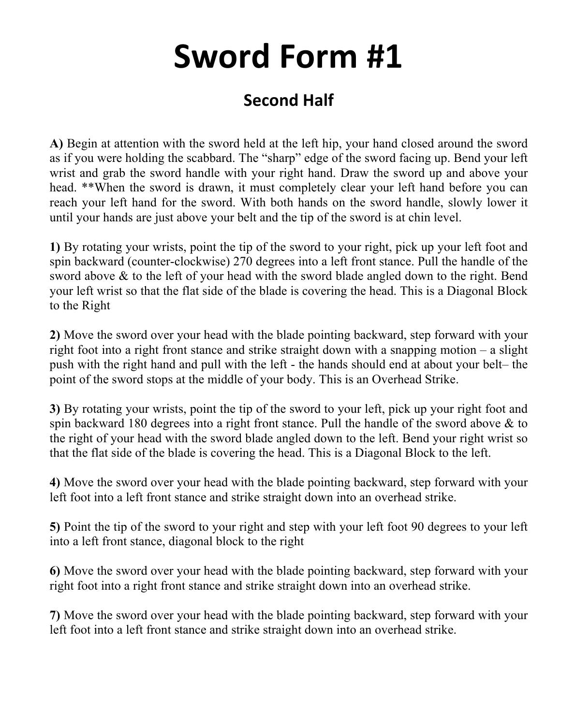## **Sword Form #1**

## **Second Half**

**A)** Begin at attention with the sword held at the left hip, your hand closed around the sword as if you were holding the scabbard. The "sharp" edge of the sword facing up. Bend your left wrist and grab the sword handle with your right hand. Draw the sword up and above your head. \*\*When the sword is drawn, it must completely clear your left hand before you can reach your left hand for the sword. With both hands on the sword handle, slowly lower it until your hands are just above your belt and the tip of the sword is at chin level.

**1)** By rotating your wrists, point the tip of the sword to your right, pick up your left foot and spin backward (counter-clockwise) 270 degrees into a left front stance. Pull the handle of the sword above & to the left of your head with the sword blade angled down to the right. Bend your left wrist so that the flat side of the blade is covering the head. This is a Diagonal Block to the Right

**2)** Move the sword over your head with the blade pointing backward, step forward with your right foot into a right front stance and strike straight down with a snapping motion – a slight push with the right hand and pull with the left - the hands should end at about your belt– the point of the sword stops at the middle of your body. This is an Overhead Strike.

**3)** By rotating your wrists, point the tip of the sword to your left, pick up your right foot and spin backward 180 degrees into a right front stance. Pull the handle of the sword above & to the right of your head with the sword blade angled down to the left. Bend your right wrist so that the flat side of the blade is covering the head. This is a Diagonal Block to the left.

**4)** Move the sword over your head with the blade pointing backward, step forward with your left foot into a left front stance and strike straight down into an overhead strike.

**5)** Point the tip of the sword to your right and step with your left foot 90 degrees to your left into a left front stance, diagonal block to the right

**6)** Move the sword over your head with the blade pointing backward, step forward with your right foot into a right front stance and strike straight down into an overhead strike.

**7)** Move the sword over your head with the blade pointing backward, step forward with your left foot into a left front stance and strike straight down into an overhead strike.